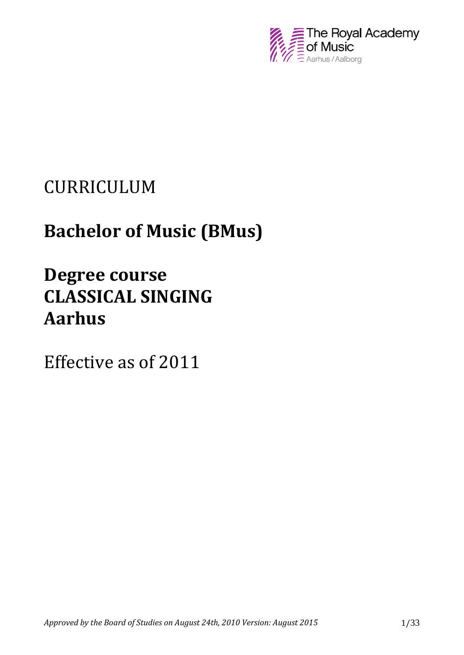

# CURRICULUM

# **Bachelor of Music (BMus)**

# **Degree course CLASSICAL SINGING Aarhus**

Effective as of 2011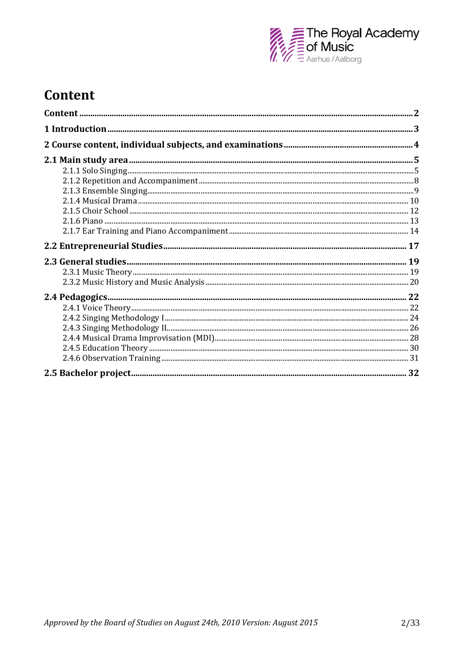

## Content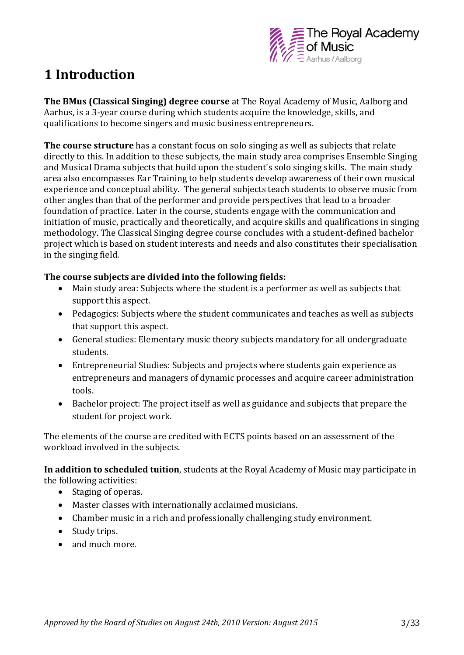

## **1 Introduction**

**The BMus (Classical Singing) degree course** at The Royal Academy of Music, Aalborg and Aarhus, is a 3-year course during which students acquire the knowledge, skills, and qualifications to become singers and music business entrepreneurs.

**The course structure** has a constant focus on solo singing as well as subjects that relate directly to this. In addition to these subjects, the main study area comprises Ensemble Singing and Musical Drama subjects that build upon the student's solo singing skills. The main study area also encompasses Ear Training to help students develop awareness of their own musical experience and conceptual ability. The general subjects teach students to observe music from other angles than that of the performer and provide perspectives that lead to a broader foundation of practice. Later in the course, students engage with the communication and initiation of music, practically and theoretically, and acquire skills and qualifications in singing methodology. The Classical Singing degree course concludes with a student-defined bachelor project which is based on student interests and needs and also constitutes their specialisation in the singing field.

#### **The course subjects are divided into the following fields:**

- Main study area: Subjects where the student is a performer as well as subjects that support this aspect.
- Pedagogics: Subjects where the student communicates and teaches as well as subjects that support this aspect.
- General studies: Elementary music theory subjects mandatory for all undergraduate students.
- Entrepreneurial Studies: Subjects and projects where students gain experience as entrepreneurs and managers of dynamic processes and acquire career administration tools.
- Bachelor project: The project itself as well as guidance and subjects that prepare the student for project work.

The elements of the course are credited with ECTS points based on an assessment of the workload involved in the subjects.

**In addition to scheduled tuition**, students at the Royal Academy of Music may participate in the following activities:

- Staging of operas.
- Master classes with internationally acclaimed musicians.
- Chamber music in a rich and professionally challenging study environment.
- Study trips.
- and much more.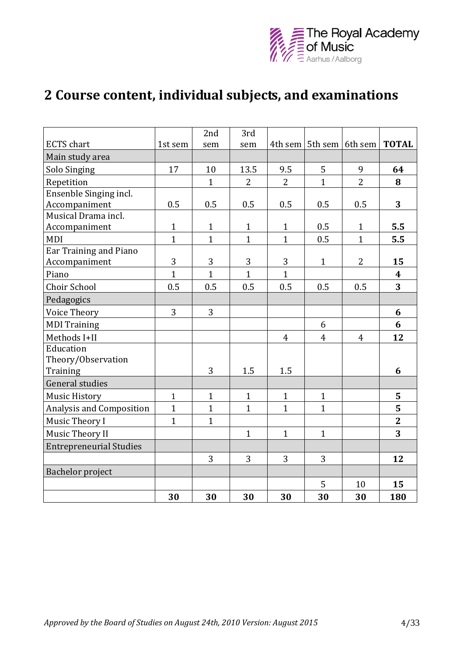

## **2 Course content, individual subjects, and examinations**

|                                |              | 2nd          | 3rd            |                |                             |                |                  |
|--------------------------------|--------------|--------------|----------------|----------------|-----------------------------|----------------|------------------|
| <b>ECTS</b> chart              | 1st sem      | sem          | sem            |                | 4th sem   5th sem   6th sem |                | <b>TOTAL</b>     |
| Main study area                |              |              |                |                |                             |                |                  |
| Solo Singing                   | 17           | 10           | 13.5           | 9.5            | 5                           | 9              | 64               |
| Repetition                     |              | $\mathbf{1}$ | $\overline{2}$ | $\overline{2}$ | $\mathbf{1}$                | $\overline{2}$ | 8                |
| Ensenble Singing incl.         |              |              |                |                |                             |                |                  |
| Accompaniment                  | 0.5          | 0.5          | 0.5            | 0.5            | 0.5                         | 0.5            | 3                |
| Musical Drama incl.            |              |              |                |                |                             |                |                  |
| Accompaniment                  | $\mathbf{1}$ | $\mathbf{1}$ | $\mathbf{1}$   | $\mathbf{1}$   | 0.5                         | $\mathbf{1}$   | 5.5              |
| MDI                            | $\mathbf{1}$ | $\mathbf{1}$ | $\mathbf{1}$   | $\mathbf{1}$   | 0.5                         | $\mathbf{1}$   | 5.5              |
| Ear Training and Piano         |              |              |                |                |                             |                |                  |
| Accompaniment                  | 3            | 3            | 3              | 3              | $\mathbf{1}$                | $\overline{2}$ | 15               |
| Piano                          | $\mathbf{1}$ | $\mathbf{1}$ | $\mathbf{1}$   | $\mathbf{1}$   |                             |                | $\boldsymbol{4}$ |
| Choir School                   | 0.5          | 0.5          | 0.5            | 0.5            | 0.5                         | 0.5            | 3                |
| Pedagogics                     |              |              |                |                |                             |                |                  |
| Voice Theory                   | 3            | 3            |                |                |                             |                | 6                |
| <b>MDI</b> Training            |              |              |                |                | 6                           |                | 6                |
| Methods I+II                   |              |              |                | $\overline{4}$ | $\overline{4}$              | $\overline{4}$ | 12               |
| Education                      |              |              |                |                |                             |                |                  |
| Theory/Observation             |              |              |                |                |                             |                |                  |
| Training                       |              | 3            | 1.5            | 1.5            |                             |                | 6                |
| <b>General studies</b>         |              |              |                |                |                             |                |                  |
| <b>Music History</b>           | $\mathbf{1}$ | $\mathbf{1}$ | $\mathbf{1}$   | $\mathbf{1}$   | $\mathbf{1}$                |                | 5                |
| Analysis and Composition       | $\mathbf{1}$ | $\mathbf{1}$ | $\mathbf{1}$   | $\mathbf{1}$   | $\mathbf{1}$                |                | 5                |
| Music Theory I                 | $\mathbf{1}$ | $\mathbf{1}$ |                |                |                             |                | $\mathbf{2}$     |
| Music Theory II                |              |              | $\mathbf{1}$   | $\mathbf{1}$   | $\mathbf{1}$                |                | 3                |
| <b>Entrepreneurial Studies</b> |              |              |                |                |                             |                |                  |
|                                |              | 3            | 3              | 3              | 3                           |                | 12               |
| Bachelor project               |              |              |                |                |                             |                |                  |
|                                |              |              |                |                | 5                           | 10             | 15               |
|                                | 30           | 30           | 30             | 30             | 30                          | 30             | 180              |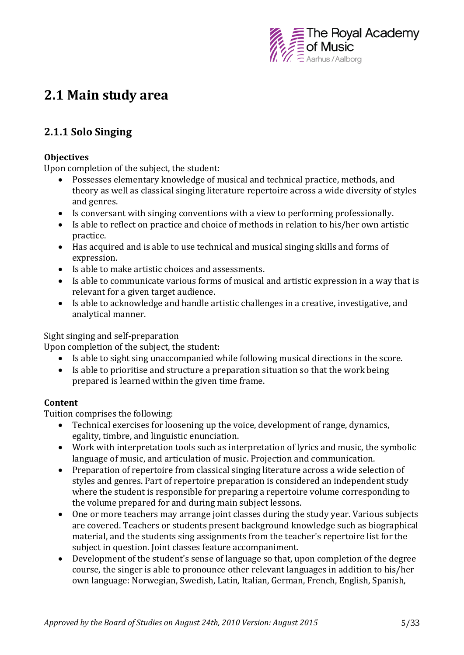

## **2.1 Main study area**

## **2.1.1 Solo Singing**

#### **Objectives**

Upon completion of the subject, the student:

- Possesses elementary knowledge of musical and technical practice, methods, and theory as well as classical singing literature repertoire across a wide diversity of styles and genres.
- Is conversant with singing conventions with a view to performing professionally.
- Is able to reflect on practice and choice of methods in relation to his/her own artistic practice.
- Has acquired and is able to use technical and musical singing skills and forms of expression.
- Is able to make artistic choices and assessments.
- Is able to communicate various forms of musical and artistic expression in a way that is relevant for a given target audience.
- Is able to acknowledge and handle artistic challenges in a creative, investigative, and analytical manner.

#### Sight singing and self-preparation

Upon completion of the subject, the student:

- Is able to sight sing unaccompanied while following musical directions in the score.
- Is able to prioritise and structure a preparation situation so that the work being prepared is learned within the given time frame.

#### **Content**

Tuition comprises the following:

- Technical exercises for loosening up the voice, development of range, dynamics, egality, timbre, and linguistic enunciation.
- Work with interpretation tools such as interpretation of lyrics and music, the symbolic language of music, and articulation of music. Projection and communication.
- Preparation of repertoire from classical singing literature across a wide selection of styles and genres. Part of repertoire preparation is considered an independent study where the student is responsible for preparing a repertoire volume corresponding to the volume prepared for and during main subject lessons.
- One or more teachers may arrange joint classes during the study year. Various subjects are covered. Teachers or students present background knowledge such as biographical material, and the students sing assignments from the teacher's repertoire list for the subject in question. Joint classes feature accompaniment.
- Development of the student's sense of language so that, upon completion of the degree course, the singer is able to pronounce other relevant languages in addition to his/her own language: Norwegian, Swedish, Latin, Italian, German, French, English, Spanish,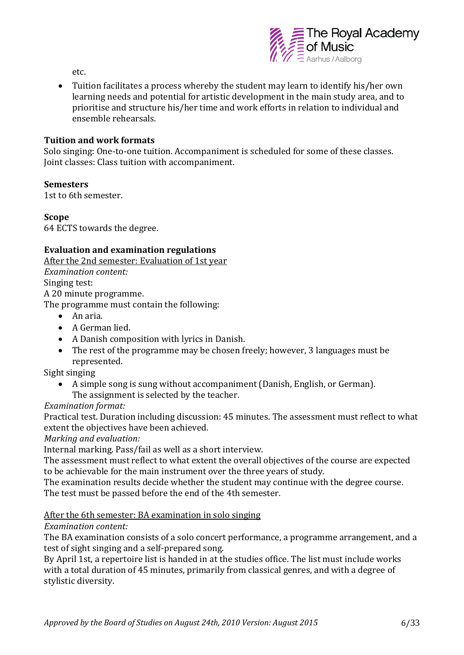

etc.

 Tuition facilitates a process whereby the student may learn to identify his/her own learning needs and potential for artistic development in the main study area, and to prioritise and structure his/her time and work efforts in relation to individual and ensemble rehearsals.

#### **Tuition and work formats**

Solo singing: One-to-one tuition. Accompaniment is scheduled for some of these classes. Joint classes: Class tuition with accompaniment.

#### **Semesters**

1st to 6th semester.

#### **Scope**

64 ECTS towards the degree.

#### **Evaluation and examination regulations**

After the 2nd semester: Evaluation of 1st year *Examination content:* Singing test: A 20 minute programme.

The programme must contain the following:

- An aria.
- A German lied.
- A Danish composition with lyrics in Danish.
- The rest of the programme may be chosen freely; however, 3 languages must be represented.

Sight singing

 A simple song is sung without accompaniment (Danish, English, or German). The assignment is selected by the teacher.

#### *Examination format:*

Practical test. Duration including discussion: 45 minutes. The assessment must reflect to what extent the objectives have been achieved.

*Marking and evaluation:*

Internal marking. Pass/fail as well as a short interview.

The assessment must reflect to what extent the overall objectives of the course are expected to be achievable for the main instrument over the three years of study.

The examination results decide whether the student may continue with the degree course. The test must be passed before the end of the 4th semester.

After the 6th semester: BA examination in solo singing

#### *Examination content:*

The BA examination consists of a solo concert performance, a programme arrangement, and a test of sight singing and a self-prepared song.

By April 1st, a repertoire list is handed in at the studies office. The list must include works with a total duration of 45 minutes, primarily from classical genres, and with a degree of stylistic diversity.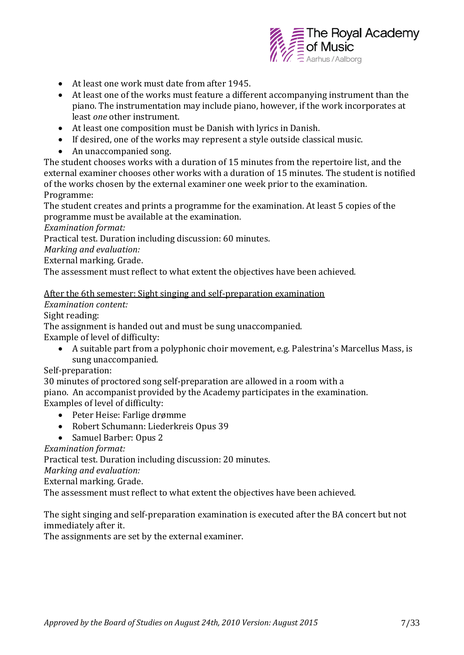

- At least one work must date from after 1945.
- At least one of the works must feature a different accompanying instrument than the piano. The instrumentation may include piano, however, if the work incorporates at least *one* other instrument.
- At least one composition must be Danish with lyrics in Danish.
- If desired, one of the works may represent a style outside classical music.
- An unaccompanied song.

The student chooses works with a duration of 15 minutes from the repertoire list, and the external examiner chooses other works with a duration of 15 minutes. The student is notified of the works chosen by the external examiner one week prior to the examination. Programme:

The student creates and prints a programme for the examination. At least 5 copies of the programme must be available at the examination.

*Examination format:*

Practical test. Duration including discussion: 60 minutes.

*Marking and evaluation:*

External marking. Grade.

The assessment must reflect to what extent the objectives have been achieved.

#### After the 6th semester: Sight singing and self-preparation examination

*Examination content:*

Sight reading:

The assignment is handed out and must be sung unaccompanied.

Example of level of difficulty:

 A suitable part from a polyphonic choir movement, e.g. Palestrina's Marcellus Mass, is sung unaccompanied.

#### Self-preparation:

30 minutes of proctored song self-preparation are allowed in a room with a piano. An accompanist provided by the Academy participates in the examination. Examples of level of difficulty:

- Peter Heise: Farlige drømme
- Robert Schumann: Liederkreis Opus 39
- Samuel Barber: Opus 2

*Examination format:*

Practical test. Duration including discussion: 20 minutes.

*Marking and evaluation:*

External marking. Grade.

The assessment must reflect to what extent the objectives have been achieved.

The sight singing and self-preparation examination is executed after the BA concert but not immediately after it.

The assignments are set by the external examiner.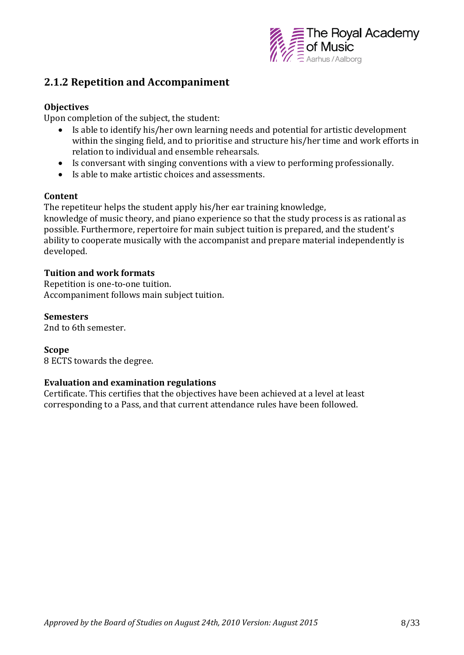

### **2.1.2 Repetition and Accompaniment**

#### **Objectives**

Upon completion of the subject, the student:

- Is able to identify his/her own learning needs and potential for artistic development within the singing field, and to prioritise and structure his/her time and work efforts in relation to individual and ensemble rehearsals.
- Is conversant with singing conventions with a view to performing professionally.
- Is able to make artistic choices and assessments.

#### **Content**

The repetiteur helps the student apply his/her ear training knowledge,

knowledge of music theory, and piano experience so that the study process is as rational as possible. Furthermore, repertoire for main subject tuition is prepared, and the student's ability to cooperate musically with the accompanist and prepare material independently is developed.

#### **Tuition and work formats**

Repetition is one-to-one tuition. Accompaniment follows main subject tuition.

#### **Semesters**

2nd to 6th semester.

#### **Scope**

8 ECTS towards the degree.

#### **Evaluation and examination regulations**

Certificate. This certifies that the objectives have been achieved at a level at least corresponding to a Pass, and that current attendance rules have been followed.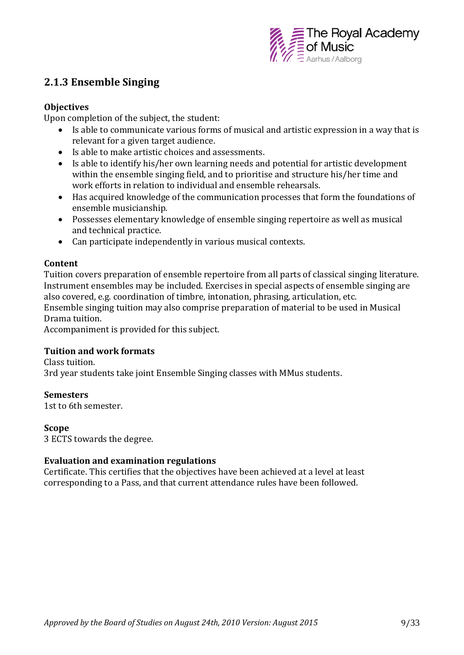

### **2.1.3 Ensemble Singing**

#### **Objectives**

Upon completion of the subject, the student:

- Is able to communicate various forms of musical and artistic expression in a way that is relevant for a given target audience.
- Is able to make artistic choices and assessments.
- Is able to identify his/her own learning needs and potential for artistic development within the ensemble singing field, and to prioritise and structure his/her time and work efforts in relation to individual and ensemble rehearsals.
- Has acquired knowledge of the communication processes that form the foundations of ensemble musicianship.
- Possesses elementary knowledge of ensemble singing repertoire as well as musical and technical practice.
- Can participate independently in various musical contexts.

#### **Content**

Tuition covers preparation of ensemble repertoire from all parts of classical singing literature. Instrument ensembles may be included. Exercises in special aspects of ensemble singing are also covered, e.g. coordination of timbre, intonation, phrasing, articulation, etc. Ensemble singing tuition may also comprise preparation of material to be used in Musical Drama tuition.

Accompaniment is provided for this subject.

#### **Tuition and work formats**

Class tuition. 3rd year students take joint Ensemble Singing classes with MMus students.

#### **Semesters**

1st to 6th semester.

#### **Scope**

3 ECTS towards the degree.

#### **Evaluation and examination regulations**

Certificate. This certifies that the objectives have been achieved at a level at least corresponding to a Pass, and that current attendance rules have been followed.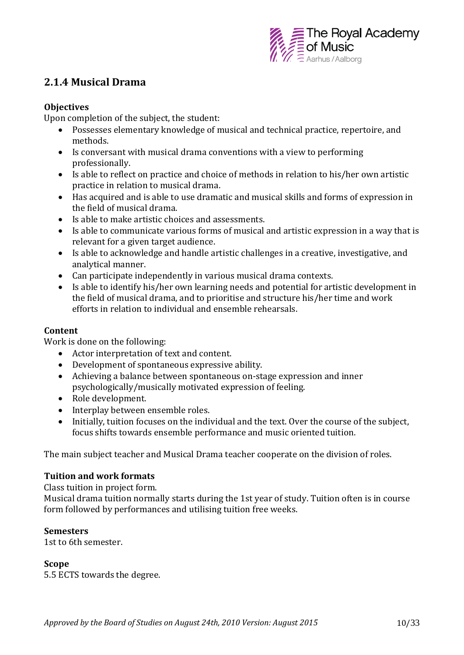

### **2.1.4 Musical Drama**

#### **Objectives**

Upon completion of the subject, the student:

- Possesses elementary knowledge of musical and technical practice, repertoire, and methods.
- Is conversant with musical drama conventions with a view to performing professionally.
- Is able to reflect on practice and choice of methods in relation to his/her own artistic practice in relation to musical drama.
- Has acquired and is able to use dramatic and musical skills and forms of expression in the field of musical drama.
- Is able to make artistic choices and assessments.
- Is able to communicate various forms of musical and artistic expression in a way that is relevant for a given target audience.
- Is able to acknowledge and handle artistic challenges in a creative, investigative, and analytical manner.
- Can participate independently in various musical drama contexts.
- Is able to identify his/her own learning needs and potential for artistic development in the field of musical drama, and to prioritise and structure his/her time and work efforts in relation to individual and ensemble rehearsals.

#### **Content**

Work is done on the following:

- Actor interpretation of text and content.
- Development of spontaneous expressive ability.
- Achieving a balance between spontaneous on-stage expression and inner psychologically/musically motivated expression of feeling.
- Role development.
- Interplay between ensemble roles.
- Initially, tuition focuses on the individual and the text. Over the course of the subject, focus shifts towards ensemble performance and music oriented tuition.

The main subject teacher and Musical Drama teacher cooperate on the division of roles.

#### **Tuition and work formats**

Class tuition in project form.

Musical drama tuition normally starts during the 1st year of study. Tuition often is in course form followed by performances and utilising tuition free weeks.

#### **Semesters**

1st to 6th semester.

#### **Scope**

5.5 ECTS towards the degree.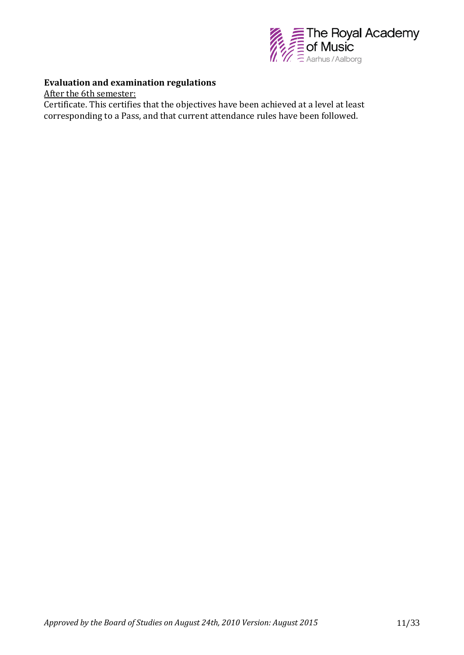

#### **Evaluation and examination regulations**

After the 6th semester:

Certificate. This certifies that the objectives have been achieved at a level at least corresponding to a Pass, and that current attendance rules have been followed.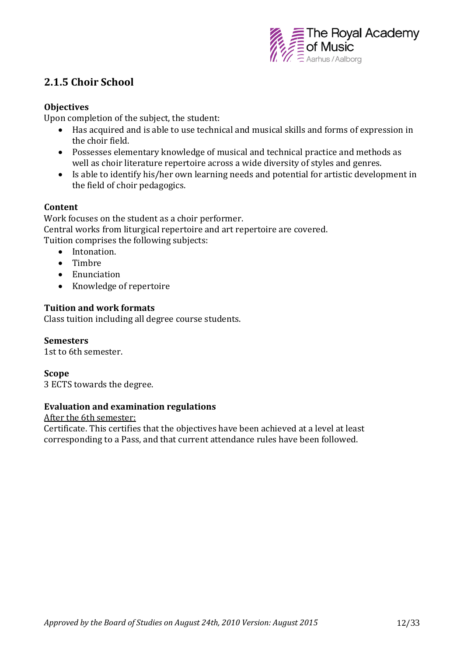

## **2.1.5 Choir School**

#### **Objectives**

Upon completion of the subject, the student:

- Has acquired and is able to use technical and musical skills and forms of expression in the choir field.
- Possesses elementary knowledge of musical and technical practice and methods as well as choir literature repertoire across a wide diversity of styles and genres.
- Is able to identify his/her own learning needs and potential for artistic development in the field of choir pedagogics.

#### **Content**

Work focuses on the student as a choir performer. Central works from liturgical repertoire and art repertoire are covered. Tuition comprises the following subjects:

- Intonation.
- Timbre
- Enunciation
- Knowledge of repertoire

#### **Tuition and work formats**

Class tuition including all degree course students.

**Semesters** 1st to 6th semester.

**Scope**

3 ECTS towards the degree.

#### **Evaluation and examination regulations**

After the 6th semester:

Certificate. This certifies that the objectives have been achieved at a level at least corresponding to a Pass, and that current attendance rules have been followed.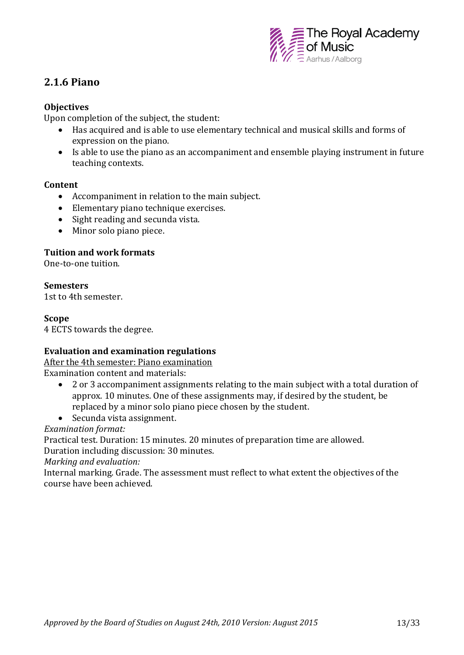

## **2.1.6 Piano**

#### **Objectives**

Upon completion of the subject, the student:

- Has acquired and is able to use elementary technical and musical skills and forms of expression on the piano.
- Is able to use the piano as an accompaniment and ensemble playing instrument in future teaching contexts.

#### **Content**

- Accompaniment in relation to the main subject.
- Elementary piano technique exercises.
- Sight reading and secunda vista.
- Minor solo piano piece.

#### **Tuition and work formats**

One-to-one tuition.

#### **Semesters**

1st to 4th semester.

#### **Scope**

4 ECTS towards the degree.

#### **Evaluation and examination regulations**

After the 4th semester: Piano examination

Examination content and materials:

- 2 or 3 accompaniment assignments relating to the main subject with a total duration of approx. 10 minutes. One of these assignments may, if desired by the student, be replaced by a minor solo piano piece chosen by the student.
- Secunda vista assignment.

#### *Examination format:*

Practical test. Duration: 15 minutes. 20 minutes of preparation time are allowed.

Duration including discussion: 30 minutes.

*Marking and evaluation:*

Internal marking. Grade. The assessment must reflect to what extent the objectives of the course have been achieved.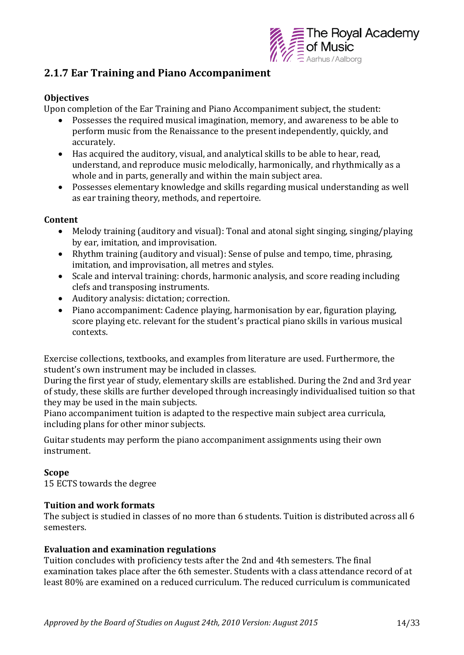

### **2.1.7 Ear Training and Piano Accompaniment**

#### **Objectives**

Upon completion of the Ear Training and Piano Accompaniment subject, the student:

- Possesses the required musical imagination, memory, and awareness to be able to perform music from the Renaissance to the present independently, quickly, and accurately.
- Has acquired the auditory, visual, and analytical skills to be able to hear, read, understand, and reproduce music melodically, harmonically, and rhythmically as a whole and in parts, generally and within the main subject area.
- Possesses elementary knowledge and skills regarding musical understanding as well as ear training theory, methods, and repertoire.

#### **Content**

- Melody training (auditory and visual): Tonal and atonal sight singing, singing/playing by ear, imitation, and improvisation.
- Rhythm training (auditory and visual): Sense of pulse and tempo, time, phrasing, imitation, and improvisation, all metres and styles.
- Scale and interval training: chords, harmonic analysis, and score reading including clefs and transposing instruments.
- Auditory analysis: dictation; correction.
- Piano accompaniment: Cadence playing, harmonisation by ear, figuration playing, score playing etc. relevant for the student's practical piano skills in various musical contexts.

Exercise collections, textbooks, and examples from literature are used. Furthermore, the student's own instrument may be included in classes.

During the first year of study, elementary skills are established. During the 2nd and 3rd year of study, these skills are further developed through increasingly individualised tuition so that they may be used in the main subjects.

Piano accompaniment tuition is adapted to the respective main subject area curricula, including plans for other minor subjects.

Guitar students may perform the piano accompaniment assignments using their own instrument.

#### **Scope**

15 ECTS towards the degree

#### **Tuition and work formats**

The subject is studied in classes of no more than 6 students. Tuition is distributed across all 6 semesters.

#### **Evaluation and examination regulations**

Tuition concludes with proficiency tests after the 2nd and 4th semesters. The final examination takes place after the 6th semester. Students with a class attendance record of at least 80% are examined on a reduced curriculum. The reduced curriculum is communicated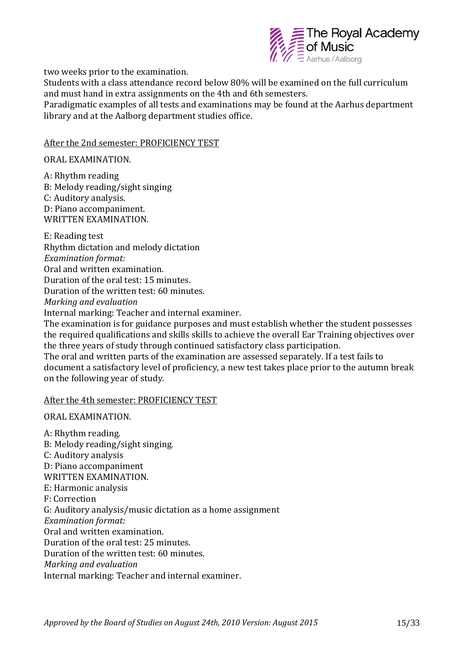

two weeks prior to the examination.

Students with a class attendance record below 80% will be examined on the full curriculum and must hand in extra assignments on the 4th and 6th semesters.

Paradigmatic examples of all tests and examinations may be found at the Aarhus department library and at the Aalborg department studies office.

After the 2nd semester: PROFICIENCY TEST

ORAL EXAMINATION.

A: Rhythm reading B: Melody reading/sight singing C: Auditory analysis. D: Piano accompaniment. WRITTEN EXAMINATION.

E: Reading test Rhythm dictation and melody dictation *Examination format:*  Oral and written examination. Duration of the oral test: 15 minutes. Duration of the written test: 60 minutes. *Marking and evaluation* Internal marking: Teacher and internal examiner. The examination is for guidance purposes and must establish whether the student possesses the required qualifications and skills skills to achieve the overall Ear Training objectives over the three years of study through continued satisfactory class participation. The oral and written parts of the examination are assessed separately. If a test fails to document a satisfactory level of proficiency, a new test takes place prior to the autumn break on the following year of study.

#### After the 4th semester: PROFICIENCY TEST

ORAL EXAMINATION.

A: Rhythm reading. B: Melody reading/sight singing. C: Auditory analysis D: Piano accompaniment WRITTEN EXAMINATION. E: Harmonic analysis F: Correction G: Auditory analysis/music dictation as a home assignment *Examination format:*  Oral and written examination. Duration of the oral test: 25 minutes. Duration of the written test: 60 minutes. *Marking and evaluation* Internal marking: Teacher and internal examiner.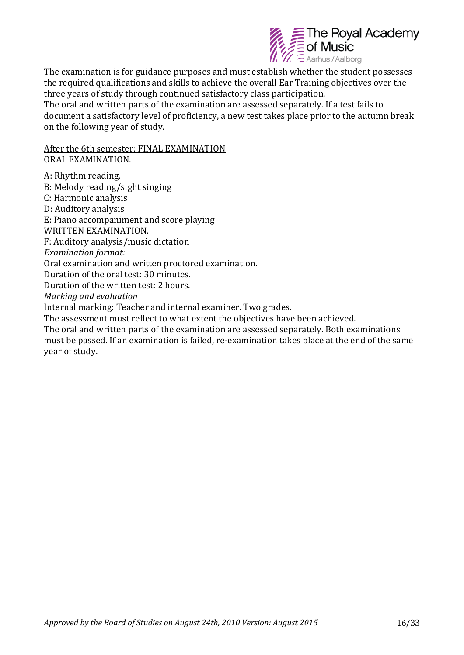

The examination is for guidance purposes and must establish whether the student possesses the required qualifications and skills to achieve the overall Ear Training objectives over the three years of study through continued satisfactory class participation. The oral and written parts of the examination are assessed separately. If a test fails to document a satisfactory level of proficiency, a new test takes place prior to the autumn break on the following year of study.

After the 6th semester: FINAL EXAMINATION ORAL EXAMINATION.

A: Rhythm reading. B: Melody reading/sight singing C: Harmonic analysis D: Auditory analysis E: Piano accompaniment and score playing WRITTEN EXAMINATION. F: Auditory analysis/music dictation *Examination format:*  Oral examination and written proctored examination. Duration of the oral test: 30 minutes. Duration of the written test: 2 hours. *Marking and evaluation* Internal marking: Teacher and internal examiner. Two grades. The assessment must reflect to what extent the objectives have been achieved. The oral and written parts of the examination are assessed separately. Both examinations must be passed. If an examination is failed, re-examination takes place at the end of the same

year of study.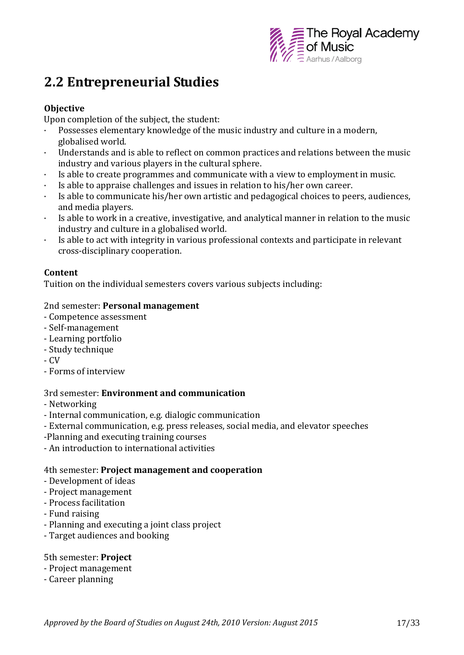

## **2.2 Entrepreneurial Studies**

#### **Objective**

Upon completion of the subject, the student:

- · Possesses elementary knowledge of the music industry and culture in a modern, globalised world.
- · Understands and is able to reflect on common practices and relations between the music industry and various players in the cultural sphere.
- Is able to create programmes and communicate with a view to employment in music.
- · Is able to appraise challenges and issues in relation to his/her own career.
- · Is able to communicate his/her own artistic and pedagogical choices to peers, audiences, and media players.
- · Is able to work in a creative, investigative, and analytical manner in relation to the music industry and culture in a globalised world.
- · Is able to act with integrity in various professional contexts and participate in relevant cross-disciplinary cooperation.

#### **Content**

Tuition on the individual semesters covers various subjects including:

#### 2nd semester: **Personal management**

- Competence assessment
- Self-management
- Learning portfolio
- Study technique
- CV
- Forms of interview

#### 3rd semester: **Environment and communication**

- Networking
- Internal communication, e.g. dialogic communication
- External communication, e.g. press releases, social media, and elevator speeches
- -Planning and executing training courses
- An introduction to international activities

#### 4th semester: **Project management and cooperation**

- Development of ideas
- Project management
- Process facilitation
- Fund raising
- Planning and executing a joint class project
- Target audiences and booking

#### 5th semester: **Project**

- Project management
- Career planning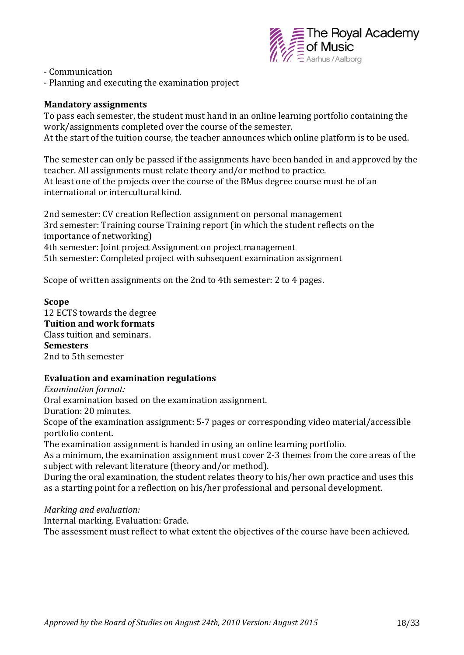

- Communication

- Planning and executing the examination project

#### **Mandatory assignments**

To pass each semester, the student must hand in an online learning portfolio containing the work/assignments completed over the course of the semester. At the start of the tuition course, the teacher announces which online platform is to be used.

The semester can only be passed if the assignments have been handed in and approved by the teacher. All assignments must relate theory and/or method to practice. At least one of the projects over the course of the BMus degree course must be of an international or intercultural kind.

2nd semester: CV creation Reflection assignment on personal management 3rd semester: Training course Training report (in which the student reflects on the importance of networking) 4th semester: Joint project Assignment on project management 5th semester: Completed project with subsequent examination assignment

Scope of written assignments on the 2nd to 4th semester: 2 to 4 pages.

#### **Scope**

12 ECTS towards the degree **Tuition and work formats** Class tuition and seminars. **Semesters** 2nd to 5th semester

#### **Evaluation and examination regulations**

*Examination format:*

Oral examination based on the examination assignment.

Duration: 20 minutes.

Scope of the examination assignment: 5-7 pages or corresponding video material/accessible portfolio content.

The examination assignment is handed in using an online learning portfolio.

As a minimum, the examination assignment must cover 2-3 themes from the core areas of the subject with relevant literature (theory and/or method).

During the oral examination, the student relates theory to his/her own practice and uses this as a starting point for a reflection on his/her professional and personal development.

*Marking and evaluation:*

Internal marking. Evaluation: Grade.

The assessment must reflect to what extent the objectives of the course have been achieved.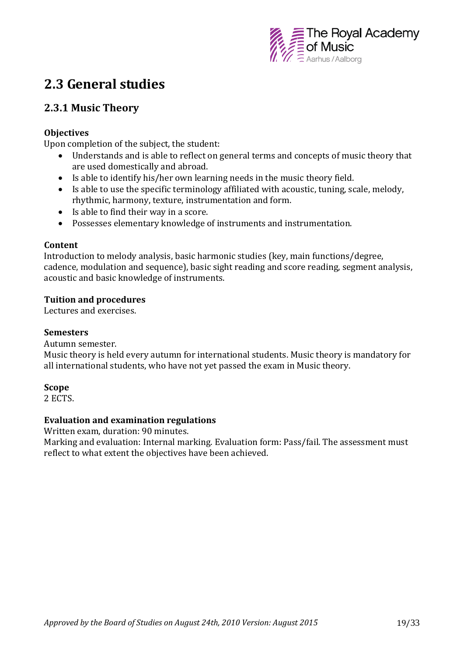

## **2.3 General studies**

## **2.3.1 Music Theory**

#### **Objectives**

Upon completion of the subject, the student:

- Understands and is able to reflect on general terms and concepts of music theory that are used domestically and abroad.
- Is able to identify his/her own learning needs in the music theory field.
- Is able to use the specific terminology affiliated with acoustic, tuning, scale, melody, rhythmic, harmony, texture, instrumentation and form.
- Is able to find their way in a score.
- Possesses elementary knowledge of instruments and instrumentation.

#### **Content**

Introduction to melody analysis, basic harmonic studies (key, main functions/degree, cadence, modulation and sequence), basic sight reading and score reading, segment analysis, acoustic and basic knowledge of instruments.

#### **Tuition and procedures**

Lectures and exercises.

#### **Semesters**

Autumn semester.

Music theory is held every autumn for international students. Music theory is mandatory for all international students, who have not yet passed the exam in Music theory.

#### **Scope**

2 ECTS.

#### **Evaluation and examination regulations**

Written exam, duration: 90 minutes.

Marking and evaluation: Internal marking. Evaluation form: Pass/fail. The assessment must reflect to what extent the objectives have been achieved.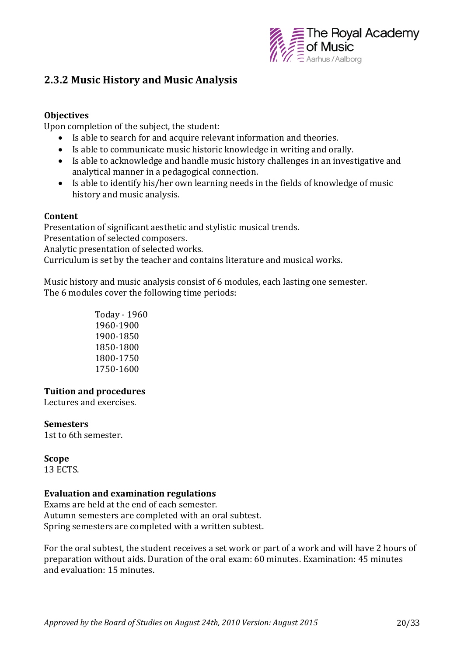

### **2.3.2 Music History and Music Analysis**

#### **Objectives**

Upon completion of the subject, the student:

- Is able to search for and acquire relevant information and theories.
- Is able to communicate music historic knowledge in writing and orally.
- Is able to acknowledge and handle music history challenges in an investigative and analytical manner in a pedagogical connection.
- Is able to identify his/her own learning needs in the fields of knowledge of music history and music analysis.

#### **Content**

Presentation of significant aesthetic and stylistic musical trends. Presentation of selected composers. Analytic presentation of selected works. Curriculum is set by the teacher and contains literature and musical works.

Music history and music analysis consist of 6 modules, each lasting one semester. The 6 modules cover the following time periods:

> Today - 1960 1960-1900 1900-1850 1850-1800 1800-1750 1750-1600

#### **Tuition and procedures**

Lectures and exercises.

#### **Semesters**

1st to 6th semester.

#### **Scope**

13 ECTS.

#### **Evaluation and examination regulations**

Exams are held at the end of each semester. Autumn semesters are completed with an oral subtest. Spring semesters are completed with a written subtest.

For the oral subtest, the student receives a set work or part of a work and will have 2 hours of preparation without aids. Duration of the oral exam: 60 minutes. Examination: 45 minutes and evaluation: 15 minutes.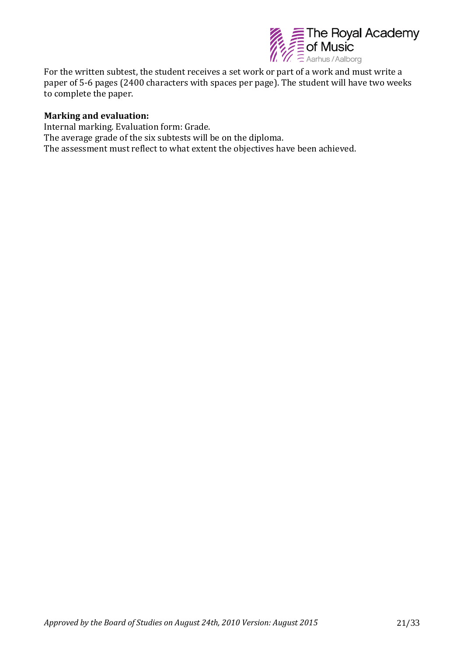

For the written subtest, the student receives a set work or part of a work and must write a paper of 5-6 pages (2400 characters with spaces per page). The student will have two weeks to complete the paper.

#### **Marking and evaluation:**

Internal marking. Evaluation form: Grade. The average grade of the six subtests will be on the diploma. The assessment must reflect to what extent the objectives have been achieved.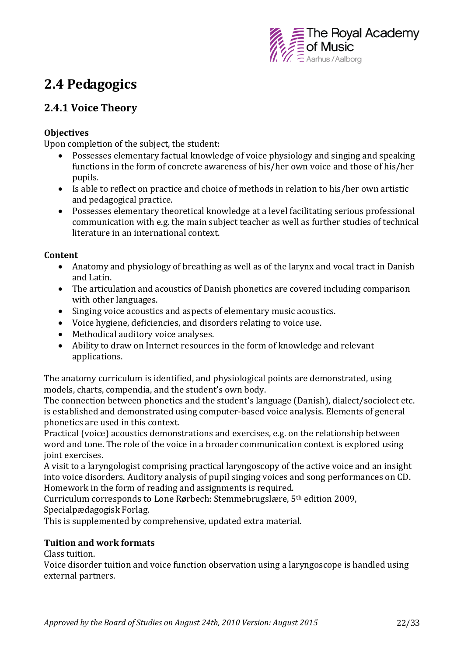

## **2.4 Pedagogics**

## **2.4.1 Voice Theory**

#### **Objectives**

Upon completion of the subject, the student:

- Possesses elementary factual knowledge of voice physiology and singing and speaking functions in the form of concrete awareness of his/her own voice and those of his/her pupils.
- Is able to reflect on practice and choice of methods in relation to his/her own artistic and pedagogical practice.
- Possesses elementary theoretical knowledge at a level facilitating serious professional communication with e.g. the main subject teacher as well as further studies of technical literature in an international context.

#### **Content**

- Anatomy and physiology of breathing as well as of the larynx and vocal tract in Danish and Latin.
- The articulation and acoustics of Danish phonetics are covered including comparison with other languages.
- Singing voice acoustics and aspects of elementary music acoustics.
- Voice hygiene, deficiencies, and disorders relating to voice use.
- Methodical auditory voice analyses.
- Ability to draw on Internet resources in the form of knowledge and relevant applications.

The anatomy curriculum is identified, and physiological points are demonstrated, using models, charts, compendia, and the student's own body.

The connection between phonetics and the student's language (Danish), dialect/sociolect etc. is established and demonstrated using computer-based voice analysis. Elements of general phonetics are used in this context.

Practical (voice) acoustics demonstrations and exercises, e.g. on the relationship between word and tone. The role of the voice in a broader communication context is explored using joint exercises.

A visit to a laryngologist comprising practical laryngoscopy of the active voice and an insight into voice disorders. Auditory analysis of pupil singing voices and song performances on CD. Homework in the form of reading and assignments is required.

Curriculum corresponds to Lone Rørbech: Stemmebrugslære, 5th edition 2009, Specialpædagogisk Forlag.

This is supplemented by comprehensive, updated extra material.

#### **Tuition and work formats**

Class tuition.

Voice disorder tuition and voice function observation using a laryngoscope is handled using external partners.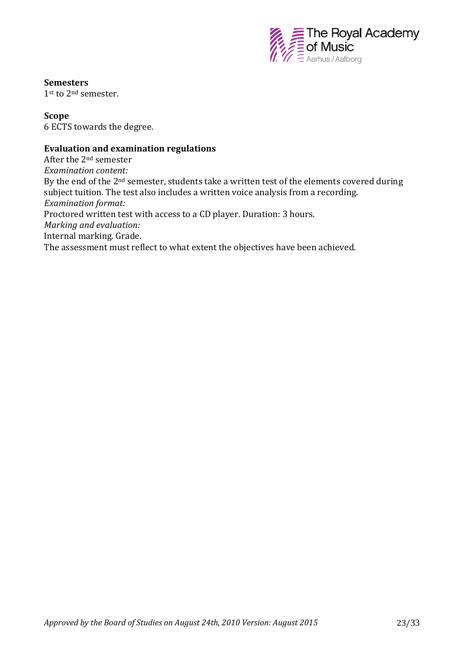

**Semesters**

1st to 2<sup>nd</sup> semester.

#### **Scope**

6 ECTS towards the degree.

#### **Evaluation and examination regulations**

After the 2nd semester *Examination content:* By the end of the 2<sup>nd</sup> semester, students take a written test of the elements covered during subject tuition. The test also includes a written voice analysis from a recording. *Examination format:* Proctored written test with access to a CD player. Duration: 3 hours. *Marking and evaluation:*  Internal marking. Grade. The assessment must reflect to what extent the objectives have been achieved.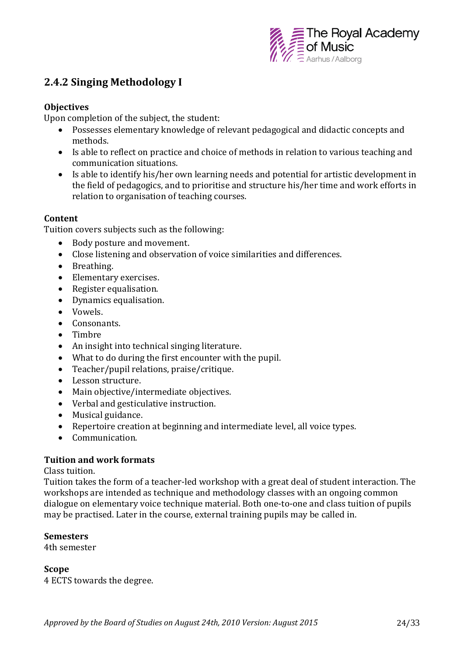

## **2.4.2 Singing Methodology I**

#### **Objectives**

Upon completion of the subject, the student:

- Possesses elementary knowledge of relevant pedagogical and didactic concepts and methods.
- Is able to reflect on practice and choice of methods in relation to various teaching and communication situations.
- Is able to identify his/her own learning needs and potential for artistic development in the field of pedagogics, and to prioritise and structure his/her time and work efforts in relation to organisation of teaching courses.

#### **Content**

Tuition covers subjects such as the following:

- Body posture and movement.
- Close listening and observation of voice similarities and differences.
- Breathing.
- Elementary exercises.
- Register equalisation.
- Dynamics equalisation.
- Vowels.
- Consonants.
- Timbre
- An insight into technical singing literature.
- What to do during the first encounter with the pupil.
- Teacher/pupil relations, praise/critique.
- Lesson structure.
- Main objective/intermediate objectives.
- Verbal and gesticulative instruction.
- Musical guidance.
- Repertoire creation at beginning and intermediate level, all voice types.
- Communication.

#### **Tuition and work formats**

Class tuition.

Tuition takes the form of a teacher-led workshop with a great deal of student interaction. The workshops are intended as technique and methodology classes with an ongoing common dialogue on elementary voice technique material. Both one-to-one and class tuition of pupils may be practised. Later in the course, external training pupils may be called in.

#### **Semesters**

4th semester

#### **Scope**

4 ECTS towards the degree.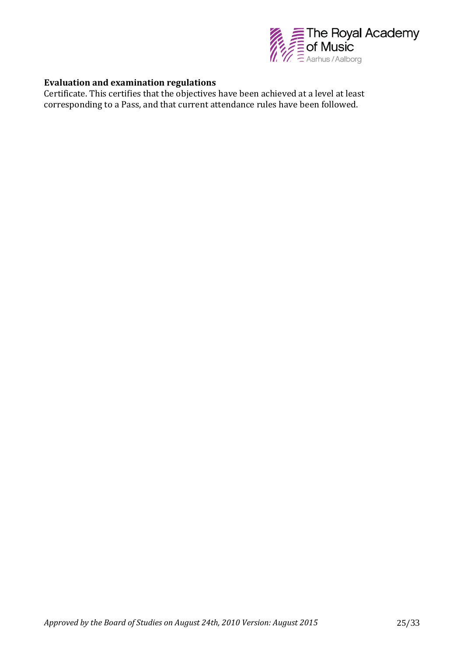

#### **Evaluation and examination regulations**

Certificate. This certifies that the objectives have been achieved at a level at least corresponding to a Pass, and that current attendance rules have been followed.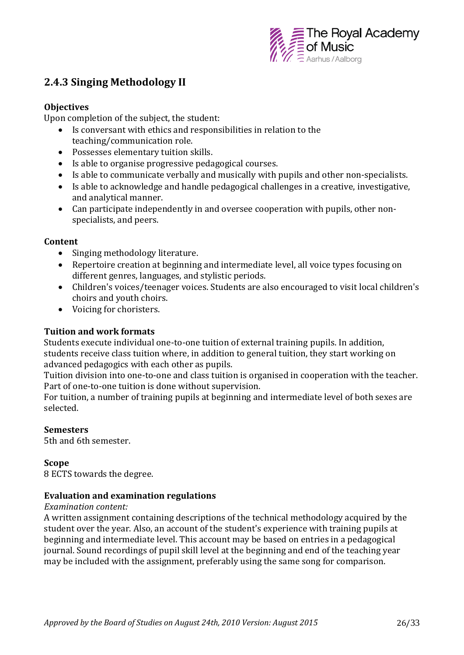

## **2.4.3 Singing Methodology II**

#### **Objectives**

Upon completion of the subject, the student:

- Is conversant with ethics and responsibilities in relation to the teaching/communication role.
- Possesses elementary tuition skills.
- Is able to organise progressive pedagogical courses.
- Is able to communicate verbally and musically with pupils and other non-specialists.
- Is able to acknowledge and handle pedagogical challenges in a creative, investigative, and analytical manner.
- Can participate independently in and oversee cooperation with pupils, other nonspecialists, and peers.

#### **Content**

- Singing methodology literature.
- Repertoire creation at beginning and intermediate level, all voice types focusing on different genres, languages, and stylistic periods.
- Children's voices/teenager voices. Students are also encouraged to visit local children's choirs and youth choirs.
- Voicing for choristers.

#### **Tuition and work formats**

Students execute individual one-to-one tuition of external training pupils. In addition, students receive class tuition where, in addition to general tuition, they start working on advanced pedagogics with each other as pupils.

Tuition division into one-to-one and class tuition is organised in cooperation with the teacher. Part of one-to-one tuition is done without supervision.

For tuition, a number of training pupils at beginning and intermediate level of both sexes are selected.

#### **Semesters**

5th and 6th semester.

#### **Scope**

8 ECTS towards the degree.

#### **Evaluation and examination regulations**

#### *Examination content:*

A written assignment containing descriptions of the technical methodology acquired by the student over the year. Also, an account of the student's experience with training pupils at beginning and intermediate level. This account may be based on entries in a pedagogical journal. Sound recordings of pupil skill level at the beginning and end of the teaching year may be included with the assignment, preferably using the same song for comparison.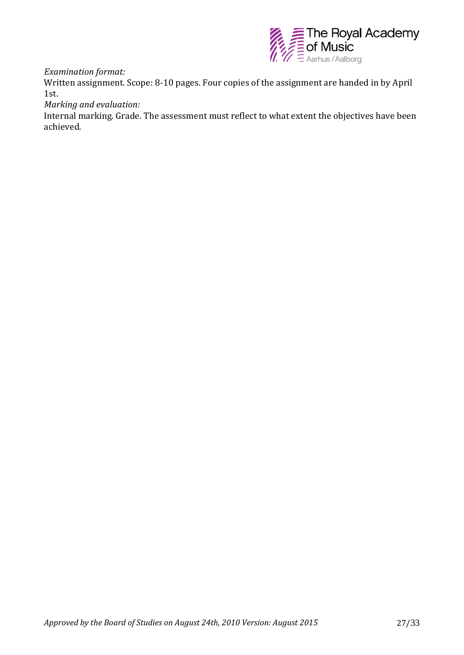

*Examination format:*

Written assignment. Scope: 8-10 pages. Four copies of the assignment are handed in by April 1st.

*Marking and evaluation:*

Internal marking. Grade. The assessment must reflect to what extent the objectives have been achieved.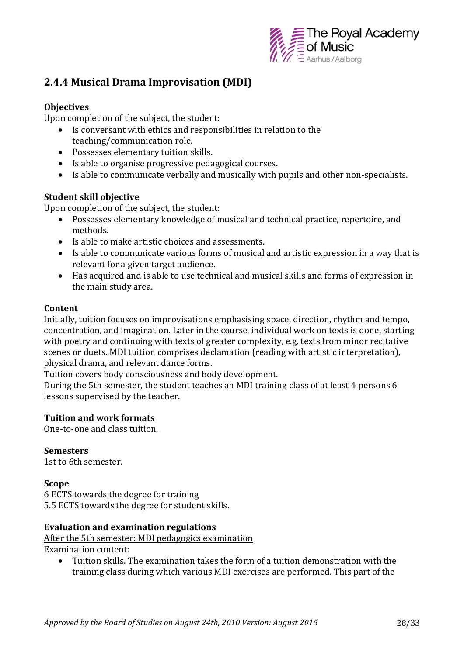

## **2.4.4 Musical Drama Improvisation (MDI)**

#### **Objectives**

Upon completion of the subject, the student:

- Is conversant with ethics and responsibilities in relation to the teaching/communication role.
- Possesses elementary tuition skills.
- Is able to organise progressive pedagogical courses.
- Is able to communicate verbally and musically with pupils and other non-specialists.

#### **Student skill objective**

Upon completion of the subject, the student:

- Possesses elementary knowledge of musical and technical practice, repertoire, and methods.
- Is able to make artistic choices and assessments.
- Is able to communicate various forms of musical and artistic expression in a way that is relevant for a given target audience.
- Has acquired and is able to use technical and musical skills and forms of expression in the main study area.

#### **Content**

Initially, tuition focuses on improvisations emphasising space, direction, rhythm and tempo, concentration, and imagination. Later in the course, individual work on texts is done, starting with poetry and continuing with texts of greater complexity, e.g. texts from minor recitative scenes or duets. MDI tuition comprises declamation (reading with artistic interpretation), physical drama, and relevant dance forms.

Tuition covers body consciousness and body development.

During the 5th semester, the student teaches an MDI training class of at least 4 persons 6 lessons supervised by the teacher.

#### **Tuition and work formats**

One-to-one and class tuition.

#### **Semesters**

1st to 6th semester.

#### **Scope**

6 ECTS towards the degree for training 5.5 ECTS towards the degree for student skills.

#### **Evaluation and examination regulations**

After the 5th semester: MDI pedagogics examination Examination content:

 Tuition skills. The examination takes the form of a tuition demonstration with the training class during which various MDI exercises are performed. This part of the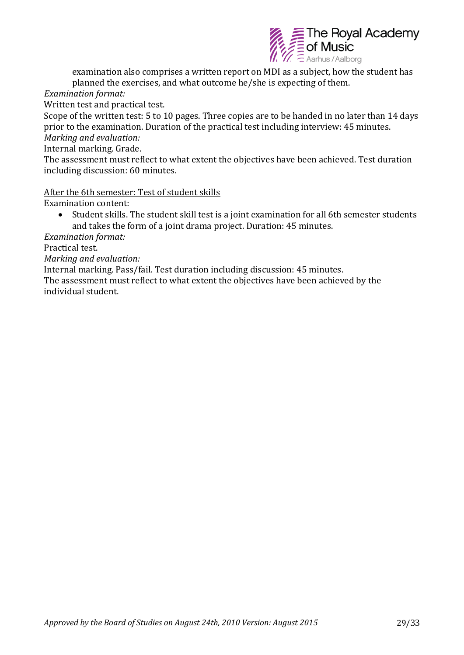

examination also comprises a written report on MDI as a subject, how the student has planned the exercises, and what outcome he/she is expecting of them.

*Examination format:* 

Written test and practical test.

Scope of the written test: 5 to 10 pages. Three copies are to be handed in no later than 14 days prior to the examination. Duration of the practical test including interview: 45 minutes. *Marking and evaluation:*

Internal marking. Grade.

The assessment must reflect to what extent the objectives have been achieved. Test duration including discussion: 60 minutes.

#### After the 6th semester: Test of student skills

Examination content:

 Student skills. The student skill test is a joint examination for all 6th semester students and takes the form of a joint drama project. Duration: 45 minutes.

*Examination format:* 

Practical test.

*Marking and evaluation:*

Internal marking. Pass/fail. Test duration including discussion: 45 minutes.

The assessment must reflect to what extent the objectives have been achieved by the individual student.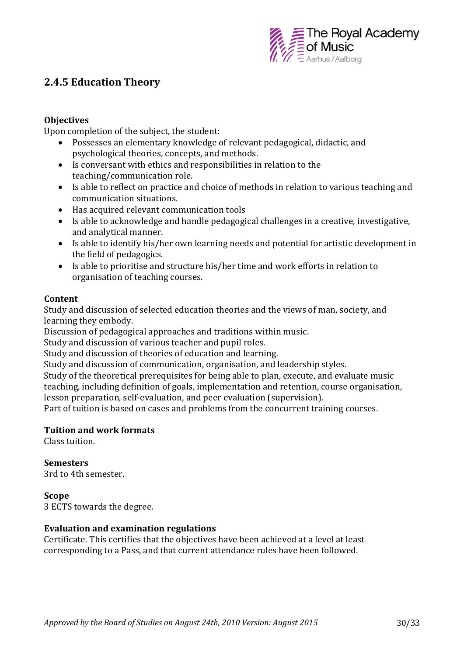

## **2.4.5 Education Theory**

#### **Objectives**

Upon completion of the subject, the student:

- Possesses an elementary knowledge of relevant pedagogical, didactic, and psychological theories, concepts, and methods.
- Is conversant with ethics and responsibilities in relation to the teaching/communication role.
- Is able to reflect on practice and choice of methods in relation to various teaching and communication situations.
- Has acquired relevant communication tools
- Is able to acknowledge and handle pedagogical challenges in a creative, investigative, and analytical manner.
- Is able to identify his/her own learning needs and potential for artistic development in the field of pedagogics.
- Is able to prioritise and structure his/her time and work efforts in relation to organisation of teaching courses.

#### **Content**

Study and discussion of selected education theories and the views of man, society, and learning they embody.

Discussion of pedagogical approaches and traditions within music.

Study and discussion of various teacher and pupil roles.

Study and discussion of theories of education and learning.

Study and discussion of communication, organisation, and leadership styles.

Study of the theoretical prerequisites for being able to plan, execute, and evaluate music teaching, including definition of goals, implementation and retention, course organisation, lesson preparation, self-evaluation, and peer evaluation (supervision).

Part of tuition is based on cases and problems from the concurrent training courses.

#### **Tuition and work formats**

Class tuition.

#### **Semesters**

3rd to 4th semester.

#### **Scope**

3 ECTS towards the degree.

#### **Evaluation and examination regulations**

Certificate. This certifies that the objectives have been achieved at a level at least corresponding to a Pass, and that current attendance rules have been followed.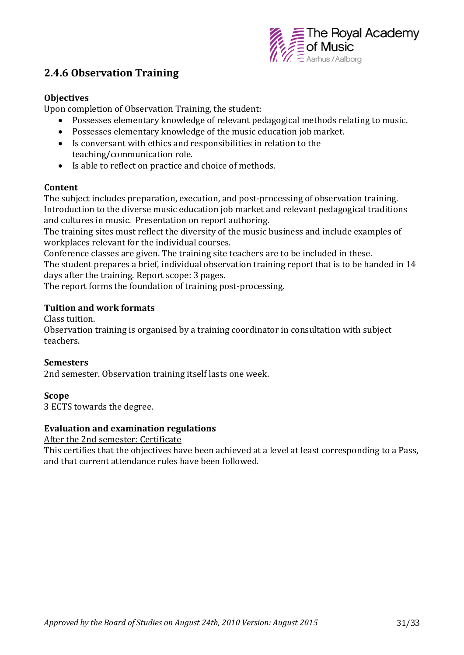

### **2.4.6 Observation Training**

#### **Objectives**

Upon completion of Observation Training, the student:

- Possesses elementary knowledge of relevant pedagogical methods relating to music.
- Possesses elementary knowledge of the music education job market.
- Is conversant with ethics and responsibilities in relation to the teaching/communication role.
- Is able to reflect on practice and choice of methods.

#### **Content**

The subject includes preparation, execution, and post-processing of observation training. Introduction to the diverse music education job market and relevant pedagogical traditions and cultures in music. Presentation on report authoring.

The training sites must reflect the diversity of the music business and include examples of workplaces relevant for the individual courses.

Conference classes are given. The training site teachers are to be included in these. The student prepares a brief, individual observation training report that is to be handed in 14 days after the training. Report scope: 3 pages.

The report forms the foundation of training post-processing.

#### **Tuition and work formats**

Class tuition.

Observation training is organised by a training coordinator in consultation with subject teachers.

#### **Semesters**

2nd semester. Observation training itself lasts one week.

#### **Scope**

3 ECTS towards the degree.

#### **Evaluation and examination regulations**

After the 2nd semester: Certificate

This certifies that the objectives have been achieved at a level at least corresponding to a Pass, and that current attendance rules have been followed.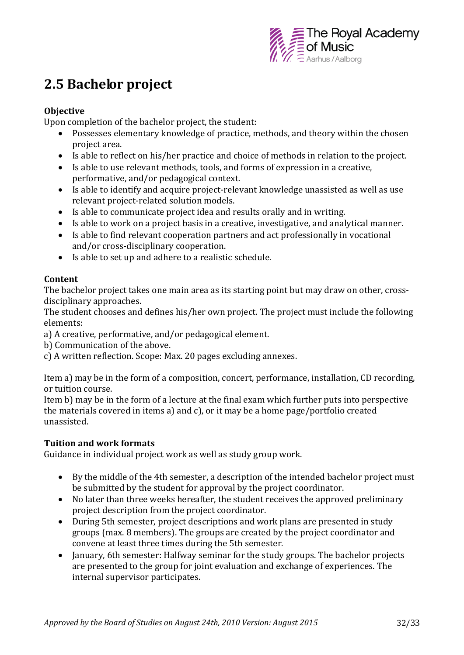

## **2.5 Bachelor project**

#### **Objective**

Upon completion of the bachelor project, the student:

- Possesses elementary knowledge of practice, methods, and theory within the chosen project area.
- Is able to reflect on his/her practice and choice of methods in relation to the project.
- Is able to use relevant methods, tools, and forms of expression in a creative, performative, and/or pedagogical context.
- Is able to identify and acquire project-relevant knowledge unassisted as well as use relevant project-related solution models.
- Is able to communicate project idea and results orally and in writing.
- Is able to work on a project basis in a creative, investigative, and analytical manner.
- Is able to find relevant cooperation partners and act professionally in vocational and/or cross-disciplinary cooperation.
- Is able to set up and adhere to a realistic schedule.

#### **Content**

The bachelor project takes one main area as its starting point but may draw on other, crossdisciplinary approaches.

The student chooses and defines his/her own project. The project must include the following elements:

a) A creative, performative, and/or pedagogical element.

b) Communication of the above.

c) A written reflection. Scope: Max. 20 pages excluding annexes.

Item a) may be in the form of a composition, concert, performance, installation, CD recording, or tuition course.

Item b) may be in the form of a lecture at the final exam which further puts into perspective the materials covered in items a) and c), or it may be a home page/portfolio created unassisted.

#### **Tuition and work formats**

Guidance in individual project work as well as study group work.

- By the middle of the 4th semester, a description of the intended bachelor project must be submitted by the student for approval by the project coordinator.
- No later than three weeks hereafter, the student receives the approved preliminary project description from the project coordinator.
- During 5th semester, project descriptions and work plans are presented in study groups (max. 8 members). The groups are created by the project coordinator and convene at least three times during the 5th semester.
- January, 6th semester: Halfway seminar for the study groups. The bachelor projects are presented to the group for joint evaluation and exchange of experiences. The internal supervisor participates.